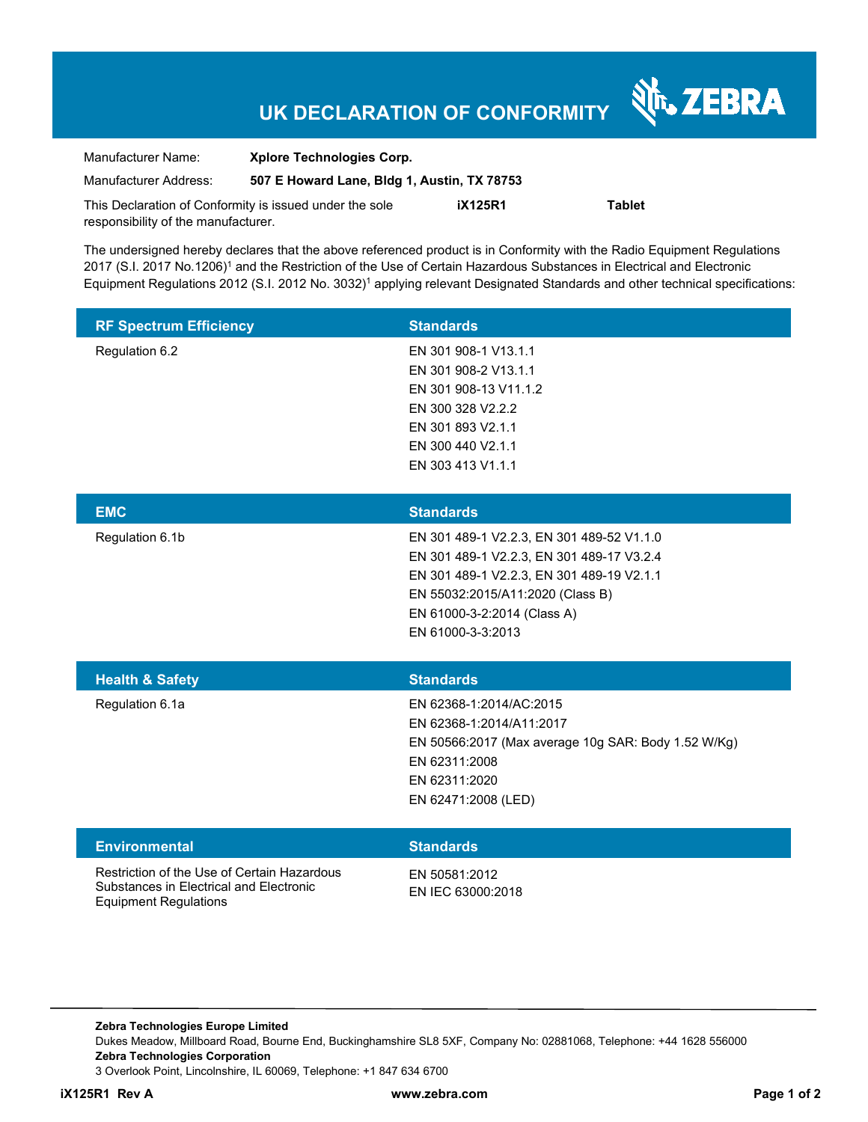## **UK DECLARATION OF CONFORMITY**

श्री<sub>1</sub>, ZEBRA

| Manufacturer Name:                                      | <b>Xplore Technologies Corp.</b>            |                |               |
|---------------------------------------------------------|---------------------------------------------|----------------|---------------|
| Manufacturer Address:                                   | 507 E Howard Lane, Bldg 1, Austin, TX 78753 |                |               |
| This Declaration of Conformity is issued under the sole |                                             | <b>iX125R1</b> | <b>Tablet</b> |
| responsibility of the manufacturer.                     |                                             |                |               |

The undersigned hereby declares that the above referenced product is in Conformity with the Radio Equipment Regulations 2017 (S.I. 2017 No.1206)1 and the Restriction of the Use of Certain Hazardous Substances in Electrical and Electronic Equipment Regulations 2012 (S.I. 2012 No. 3032)1 applying relevant Designated Standards and other technical specifications:

| <b>RF Spectrum Efficiency</b>                                                                                          | <b>Standards</b>                                                                                                                                                                                                            |
|------------------------------------------------------------------------------------------------------------------------|-----------------------------------------------------------------------------------------------------------------------------------------------------------------------------------------------------------------------------|
| Regulation 6.2                                                                                                         | EN 301 908-1 V13.1.1<br>EN 301 908-2 V13.1.1<br>EN 301 908-13 V11.1.2<br>EN 300 328 V2.2.2<br>EN 301 893 V2.1.1<br>EN 300 440 V2.1.1<br>EN 303 413 V1.1.1                                                                   |
| <b>EMC</b>                                                                                                             | <b>Standards</b>                                                                                                                                                                                                            |
| Regulation 6.1b                                                                                                        | EN 301 489-1 V2.2.3, EN 301 489-52 V1.1.0<br>EN 301 489-1 V2.2.3, EN 301 489-17 V3.2.4<br>EN 301 489-1 V2.2.3, EN 301 489-19 V2.1.1<br>EN 55032:2015/A11:2020 (Class B)<br>EN 61000-3-2:2014 (Class A)<br>EN 61000-3-3:2013 |
| <b>Health &amp; Safety</b>                                                                                             | <b>Standards</b>                                                                                                                                                                                                            |
| Regulation 6.1a                                                                                                        | EN 62368-1:2014/AC:2015<br>EN 62368-1:2014/A11:2017<br>EN 50566:2017 (Max average 10g SAR: Body 1.52 W/Kg)<br>EN 62311:2008<br>EN 62311:2020<br>EN 62471:2008 (LED)                                                         |
| <b>Environmental</b>                                                                                                   | <b>Standards</b>                                                                                                                                                                                                            |
| Restriction of the Use of Certain Hazardous<br>Substances in Electrical and Electronic<br><b>Equipment Regulations</b> | EN 50581:2012<br>EN IEC 63000:2018                                                                                                                                                                                          |

**Zebra Technologies Europe Limited** Dukes Meadow, Millboard Road, Bourne End, Buckinghamshire SL8 5XF, Company No: 02881068, Telephone: +44 1628 556000 **Zebra Technologies Corporation**  3 Overlook Point, Lincolnshire, IL 60069, Telephone: +1 847 634 6700